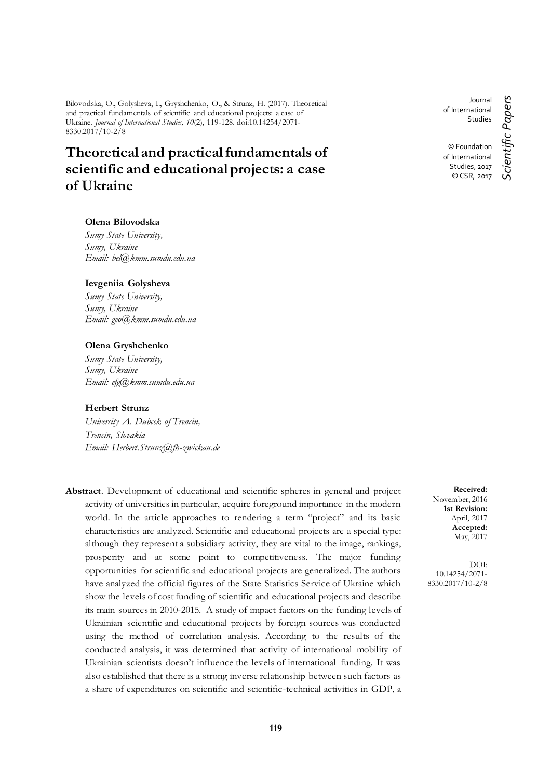Bilovodska, O., Golysheva, I., Gryshchenko, O., & Strunz, H. (2017). Theoretical and practical fundamentals of scientific and educational projects: a case of Ukraine. *Journal of International Studies, 10*(2), 119-128. doi:10.14254/2071- 8330.2017/10-2/8

# **Theoretical and practical fundamentals of scientific and educational projects: a case of Ukraine**

#### **Olena Bilovodska**

*Sumy State University, Sumy, Ukraine Email: [bel@kmm.sumdu.edu.ua](mailto:bel@kmm.sumdu.edu.ua)*

#### **Ievgeniia Golysheva**

*Sumy State University, Sumy, Ukraine Email: [geo@kmm.sumdu.edu.ua](mailto:geo@kmm.sumdu.edu.ua)*

#### **Olena Gryshchenko**

*Sumy State University, Sumy, Ukraine Email: [efg@kmm.sumdu.edu.ua](mailto:efg@kmm.sumdu.edu.ua)*

# **Herbert Strunz**

*University A. Dubcek of Trencin, Trencin, Slovakia Email: [Herbert.Strunz@fh-zwickau.de](mailto:Herbert.Strunz@fh-zwickau.de)*

**Abstract**. Development of educational and scientific spheres in general and project activity of universities in particular, acquire foreground importance in the modern world. In the article approaches to rendering a term "project" and its basic characteristics are analyzed. Scientific and educational projects are a special type: although they represent a subsidiary activity, they are vital to the image, rankings, prosperity and at some point to competitiveness. The major funding opportunities for scientific and educational projects are generalized. The authors have analyzed the official figures of the State Statistics Service of Ukraine which show the levels of cost funding of scientific and educational projects and describe its main sources in 2010-2015. A study of impact factors on the funding levels of Ukrainian scientific and educational projects by foreign sources was conducted using the method of correlation analysis. According to the results of the conducted analysis, it was determined that activity of international mobility of Ukrainian scientists doesn't influence the levels of international funding. It was also established that there is a strong inverse relationship between such factors as a share of expenditures on scientific and scientific-technical activities in GDP, a

Journal of International Studies

© Foundation of International Studies, 2017 © CSR, 2017

**Received:** November, 2016 **1st Revision:** April, 2017 **Accepted:** May, 2017

DOI: 10.14254/2071- 8330.2017/10-2/8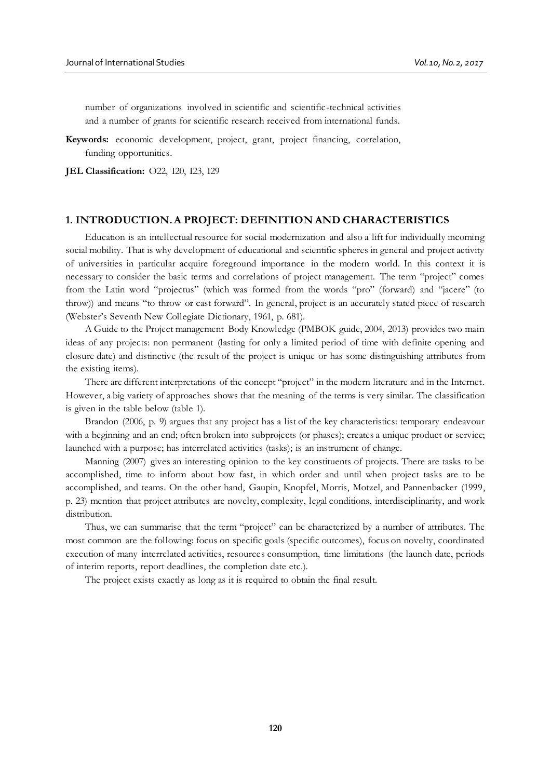number of organizations involved in scientific and scientific-technical activities and a number of grants for scientific research received from international funds.

**Keywords:** economic development, project, grant, project financing, correlation, funding opportunities.

**JEL Classification:** O22, I20, I23, I29

#### **1. INTRODUCTION. A PROJECT: DEFINITION AND CHARACTERISTICS**

Education is an intellectual resource for social modernization and also a lift for individually incoming social mobility. That is why development of educational and scientific spheres in general and project activity of universities in particular acquire foreground importance in the modern world. In this context it is necessary to consider the basic terms and correlations of project management. The term "project" comes from the Latin word "projectus" (which was formed from the words "pro" (forward) and "jacere" (to throw)) and means "to throw or cast forward". In general, project is an accurately stated piece of research (Webster's Seventh New Collegiate Dictionary, 1961, p. 681).

A Guide to the Project management Body Knowledge (PMBOK guide, 2004, 2013) provides two main ideas of any projects: non permanent (lasting for only a limited period of time with definite opening and closure date) and distinctive (the result of the project is unique or has some distinguishing attributes from the existing items).

There are different interpretations of the concept "project" in the modern literature and in the Internet. However, a big variety of approaches shows that the meaning of the terms is very similar. The classification is given in the table below (table 1).

Brandon (2006, p. 9) argues that any project has a list of the key characteristics: temporary endeavour with a beginning and an end; often broken into subprojects (or phases); creates a unique product or service; launched with a purpose; has interrelated activities (tasks); is an instrument of change.

Manning (2007) gives an interesting opinion to the key constituents of projects. There are tasks to be accomplished, time to inform about how fast, in which order and until when project tasks are to be accomplished, and teams. On the other hand, Gaupin, Knopfel, Morris, Motzel, and Pannenbacker (1999, p. 23) mention that project attributes are novelty, complexity, legal conditions, interdisciplinarity, and work distribution.

Thus, we can summarise that the term "project" can be characterized by a number of attributes. The most common are the following: focus on specific goals (specific outcomes), focus on novelty, coordinated execution of many interrelated activities, resources consumption, time limitations (the launch date, periods of interim reports, report deadlines, the completion date etc.).

The project exists exactly as long as it is required to obtain the final result.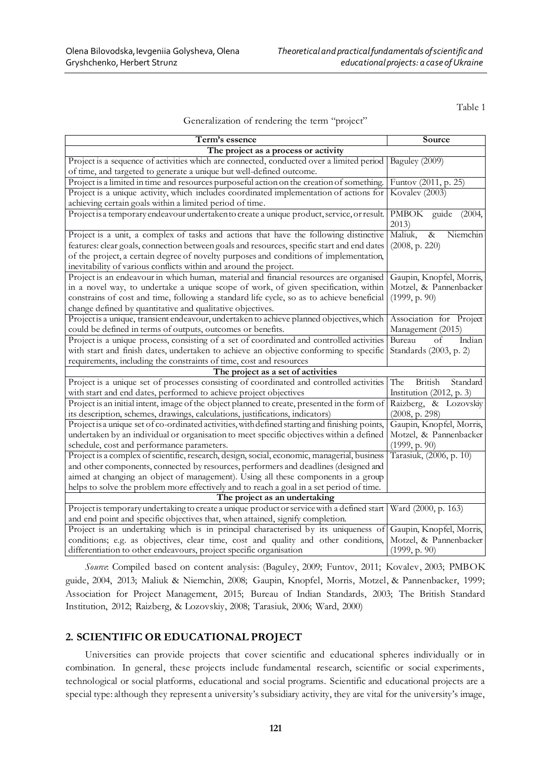Table 1

#### Generalization of rendering the term "project"

| Term's essence                                                                                                    | Source                                     |  |  |  |
|-------------------------------------------------------------------------------------------------------------------|--------------------------------------------|--|--|--|
| The project as a process or activity                                                                              |                                            |  |  |  |
| Project is a sequence of activities which are connected, conducted over a limited period                          | Baguley (2009)                             |  |  |  |
| of time, and targeted to generate a unique but well-defined outcome.                                              |                                            |  |  |  |
| Project is a limited in time and resources purposeful action on the creation of something.                        | Funtov (2011, p. 25)                       |  |  |  |
| Project is a unique activity, which includes coordinated implementation of actions for                            | Kovalev (2003)                             |  |  |  |
| achieving certain goals within a limited period of time.                                                          |                                            |  |  |  |
| Project is a temporary endeavour undertaken to create a unique product, service, or result.                       | PMBOK guide<br>(2004,                      |  |  |  |
|                                                                                                                   | 2013)                                      |  |  |  |
| Project is a unit, a complex of tasks and actions that have the following distinctive                             | Maliuk,<br>$\overline{\alpha}$<br>Niemchin |  |  |  |
| features: clear goals, connection between goals and resources, specific start and end dates                       | (2008, p. 220)                             |  |  |  |
| of the project, a certain degree of novelty purposes and conditions of implementation,                            |                                            |  |  |  |
| inevitability of various conflicts within and around the project.                                                 |                                            |  |  |  |
| Project is an endeavour in which human, material and financial resources are organised                            | Gaupin, Knopfel, Morris,                   |  |  |  |
| in a novel way, to undertake a unique scope of work, of given specification, within                               | Motzel, & Pannenbacker                     |  |  |  |
| constrains of cost and time, following a standard life cycle, so as to achieve beneficial                         | (1999, p. 90)                              |  |  |  |
| change defined by quantitative and qualitative objectives.                                                        |                                            |  |  |  |
| Projectis a unique, transient endeavour, undertaken to achieve planned objectives, which                          | Association for Project                    |  |  |  |
| could be defined in terms of outputs, outcomes or benefits.                                                       | Management (2015)                          |  |  |  |
| Project is a unique process, consisting of a set of coordinated and controlled activities                         | Indian<br>Bureau<br>of                     |  |  |  |
| with start and finish dates, undertaken to achieve an objective conforming to specific                            | Standards (2003, p. 2)                     |  |  |  |
| requirements, including the constraints of time, cost and resources                                               |                                            |  |  |  |
| The project as a set of activities                                                                                |                                            |  |  |  |
| Project is a unique set of processes consisting of coordinated and controlled activities                          | British<br>Standard<br>The                 |  |  |  |
| with start and end dates, performed to achieve project objectives                                                 | Institution $(2012, p. 3)$                 |  |  |  |
| Project is an initial intent, image of the object planned to create, presented in the form of                     | Raizberg, & Lozovskiy                      |  |  |  |
| its description, schemes, drawings, calculations, justifications, indicators)                                     | (2008, p. 298)                             |  |  |  |
| Project is a unique set of co-ordinated activities, with defined starting and finishing points,                   | Gaupin, Knopfel, Morris,                   |  |  |  |
| undertaken by an individual or organisation to meet specific objectives within a defined                          | Motzel, & Pannenbacker                     |  |  |  |
| schedule, cost and performance parameters.                                                                        | (1999, p. 90)                              |  |  |  |
| Project is a complex of scientific, research, design, social, economic, managerial, business                      | Tarasiuk, (2006, p. 10)                    |  |  |  |
| and other components, connected by resources, performers and deadlines (designed and                              |                                            |  |  |  |
| aimed at changing an object of management). Using all these components in a group                                 |                                            |  |  |  |
| helps to solve the problem more effectively and to reach a goal in a set period of time.                          |                                            |  |  |  |
| The project as an undertaking                                                                                     |                                            |  |  |  |
| Project is temporary undertaking to create a unique product or service with a defined start   Ward (2000, p. 163) |                                            |  |  |  |
| and end point and specific objectives that, when attained, signify completion.                                    |                                            |  |  |  |
| Project is an undertaking which is in principal characterised by its uniqueness of                                | Gaupin, Knopfel, Morris,                   |  |  |  |
| conditions; e.g. as objectives, clear time, cost and quality and other conditions,                                | Motzel, & Pannenbacker                     |  |  |  |
| differentiation to other endeavours, project specific organisation                                                | (1999, p. 90)                              |  |  |  |

*Source*: Compiled based on content analysis: (Baguley, 2009; Funtov, 2011; Kovalev, 2003; PMBOK guide, 2004, 2013; Maliuk & Niemchin, 2008; Gaupin, Knopfel, Morris, Motzel, & Pannenbacker, 1999; Association for Project Management, 2015; Bureau of Indian Standards, 2003; The British Standard Institution, 2012; Raizberg, & Lozovskiy, 2008; Tarasiuk, 2006; Ward, 2000)

### **2. SCIENTIFIC OR EDUCATIONAL PROJECT**

Universities can provide projects that cover scientific and educational spheres individually or in combination. In general, these projects include fundamental research, scientific or social experiments, technological or social platforms, educational and social programs. Scientific and educational projects are a special type: although they represent a university's subsidiary activity, they are vital for the university's image,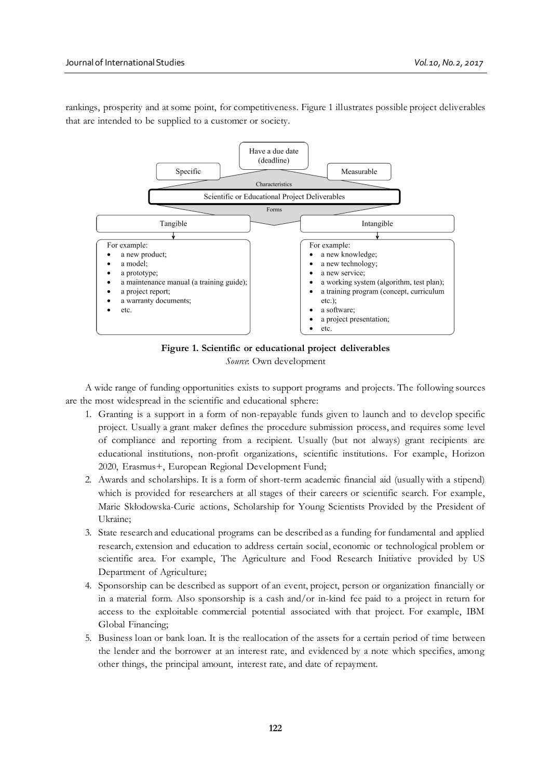rankings, prosperity and at some point, for competitiveness. Figure 1 illustrates possible project deliverables that are intended to be supplied to a customer or society.



**Figure 1. Scientific or educational project deliverables** *Source*: Own development

A wide range of funding opportunities exists to support programs and projects. The following sources are the most widespread in the scientific and educational sphere:

- 1. Granting is a support in a form of non-repayable funds given to launch and to develop specific project. Usually a grant maker defines the procedure submission process, and requires some level of compliance and reporting from a recipient. Usually (but not always) grant recipients are educational institutions, non-profit organizations, scientific institutions. For example, Horizon 2020, Erasmus+, European Regional Development Fund;
- 2. Awards and scholarships. It is a form of short-term academic financial aid (usually with a stipend) which is provided for researchers at all stages of their careers or scientific search. For example, Marie Skłodowska-Curie actions, Scholarship for Young Scientists Provided by the President of Ukraine;
- 3. State research and educational programs can be described as a funding for fundamental and applied research, extension and education to address certain social, economic or technological problem or scientific area. For example, The Agriculture and Food Research Initiative provided by US Department of Agriculture;
- 4. Sponsorship can be described as support of an event, project, person or organization financially or in a material form. Also sponsorship is a cash and/or in-kind fee paid to a project in return for access to the exploitable commercial potential associated with that project. For example, IBM Global Financing;
- 5. Business loan or bank loan. It is the reallocation of the assets for a certain period of time between the lender and the borrower at an interest rate, and evidenced by a note which specifies, among other things, the principal amount, interest rate, and date of repayment.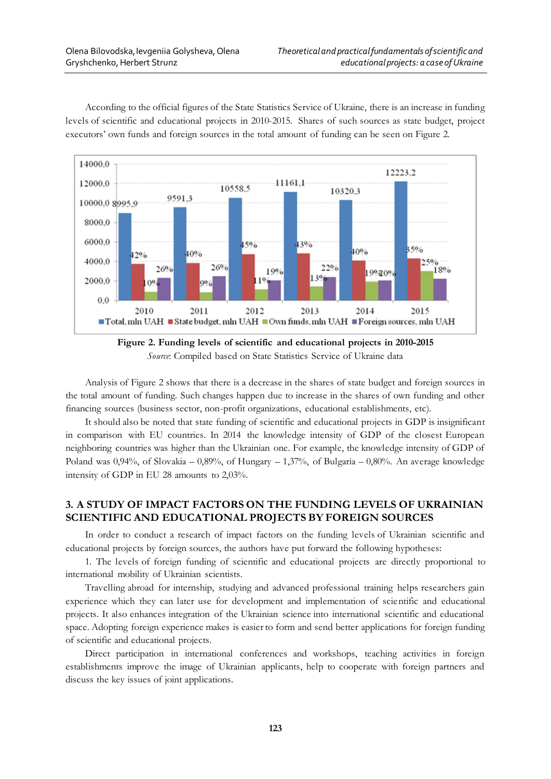

According to the official figures of the State Statistics Service of Ukraine, there is an increase in funding levels of scientific and educational projects in 2010-2015. Shares of such sources as state budget, project executors' own funds and foreign sources in the total amount of funding can be seen on Figure 2.



Analysis of Figure 2 shows that there is a decrease in the shares of state budget and foreign sources in the total amount of funding. Such changes happen due to increase in the shares of own funding and other financing sources (business sector, non-profit organizations, educational establishments, etc).

It should also be noted that state funding of scientific and educational projects in GDP is insignificant in comparison with EU countries. In 2014 the knowledge intensity of GDP of the closest European neighboring countries was higher than the Ukrainian one. For example, the knowledge intensity of GDP of Poland was  $0.94\%$ , of Slovakia –  $0.89\%$ , of Hungary –  $1.37\%$ , of Bulgaria –  $0.80\%$ . An average knowledge intensity of GDP in EU 28 amounts to 2,03%.

# **3. A STUDY OF IMPACT FACTORS ON THE FUNDING LEVELS OF UKRAINIAN SCIENTIFIC AND EDUCATIONAL PROJECTS BY FOREIGN SOURCES**

In order to conduct a research of impact factors on the funding levels of Ukrainian scientific and educational projects by foreign sources, the authors have put forward the following hypotheses:

1. The levels of foreign funding of scientific and educational projects are directly proportional to international mobility of Ukrainian scientists.

Travelling abroad for internship, studying and advanced professional training helps researchers gain experience which they can later use for development and implementation of scientific and educational projects. It also enhances integration of the Ukrainian science into international scientific and educational space. Adopting foreign experience makes is easier to form and send better applications for foreign funding of scientific and educational projects.

Direct participation in international conferences and workshops, teaching activities in foreign establishments improve the image of Ukrainian applicants, help to cooperate with foreign partners and discuss the key issues of joint applications.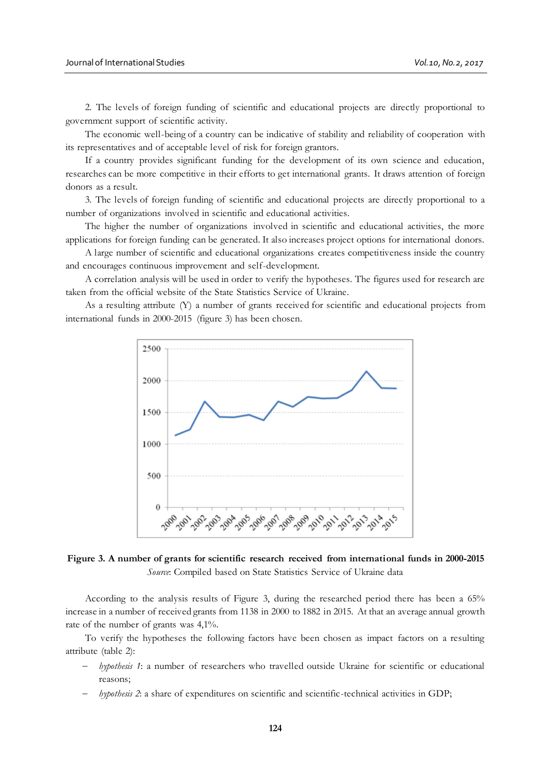2. The levels of foreign funding of scientific and educational projects are directly proportional to government support of scientific activity.

The economic well-being of a country can be indicative of stability and reliability of cooperation with its representatives and of acceptable level of risk for foreign grantors.

If a country provides significant funding for the development of its own science and education, researches can be more competitive in their efforts to get international grants. It draws attention of foreign donors as a result.

3. The levels of foreign funding of scientific and educational projects are directly proportional to a number of organizations involved in scientific and educational activities.

The higher the number of organizations involved in scientific and educational activities, the more applications for foreign funding can be generated. It also increases project options for international donors.

A large number of scientific and educational organizations creates competitiveness inside the country and encourages continuous improvement and self-development.

A correlation analysis will be used in order to verify the hypotheses. The figures used for research are taken from the official website of the State Statistics Service of Ukraine.

As a resulting attribute (Y) a number of grants received for scientific and educational projects from international funds in 2000-2015 (figure 3) has been chosen.



**Figure 3. A number of grants for scientific research received from international funds in 2000-2015** *Source*: Compiled based on State Statistics Service of Ukraine data

According to the analysis results of Figure 3, during the researched period there has been a 65% increase in a number of received grants from 1138 in 2000 to 1882 in 2015. At that an average annual growth rate of the number of grants was 4,1%.

To verify the hypotheses the following factors have been chosen as impact factors on a resulting attribute (table 2):

- *hypothesis 1*: a number of researchers who travelled outside Ukraine for scientific or educational reasons;
- *hypothesis 2*: a share of expenditures on scientific and scientific-technical activities in GDP;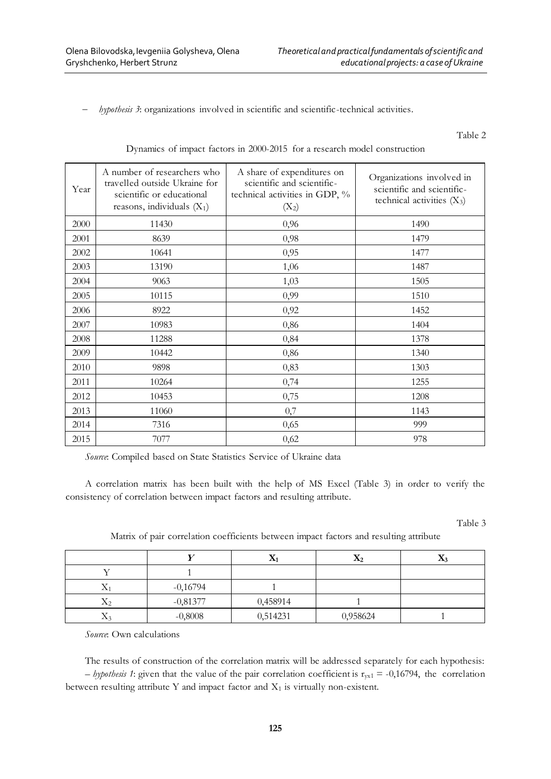*hypothesis 3*: organizations involved in scientific and scientific-technical activities.

Table 2

| Year | A number of researchers who<br>travelled outside Ukraine for<br>scientific or educational<br>reasons, individuals $(X_1)$ | A share of expenditures on<br>scientific and scientific-<br>technical activities in GDP, %<br>$(X_2)$ | Organizations involved in<br>scientific and scientific-<br>technical activities $(X_3)$ |
|------|---------------------------------------------------------------------------------------------------------------------------|-------------------------------------------------------------------------------------------------------|-----------------------------------------------------------------------------------------|
| 2000 | 11430                                                                                                                     | 0,96                                                                                                  | 1490                                                                                    |
| 2001 | 8639                                                                                                                      | 0,98                                                                                                  | 1479                                                                                    |
| 2002 | 10641                                                                                                                     | 0,95                                                                                                  | 1477                                                                                    |
| 2003 | 13190                                                                                                                     | 1,06                                                                                                  | 1487                                                                                    |
| 2004 | 9063                                                                                                                      | 1,03                                                                                                  | 1505                                                                                    |
| 2005 | 10115                                                                                                                     | 0,99                                                                                                  | 1510                                                                                    |
| 2006 | 8922                                                                                                                      | 0,92                                                                                                  | 1452                                                                                    |
| 2007 | 10983                                                                                                                     | 0,86                                                                                                  | 1404                                                                                    |
| 2008 | 11288                                                                                                                     | 0,84                                                                                                  | 1378                                                                                    |
| 2009 | 10442                                                                                                                     | 0,86                                                                                                  | 1340                                                                                    |
| 2010 | 9898                                                                                                                      | 0,83                                                                                                  | 1303                                                                                    |
| 2011 | 10264                                                                                                                     | 0,74                                                                                                  | 1255                                                                                    |
| 2012 | 10453                                                                                                                     | 0,75                                                                                                  | 1208                                                                                    |
| 2013 | 11060                                                                                                                     | 0,7                                                                                                   | 1143                                                                                    |
| 2014 | 7316                                                                                                                      | 0,65                                                                                                  | 999                                                                                     |
| 2015 | 7077                                                                                                                      | 0,62                                                                                                  | 978                                                                                     |

Dynamics of impact factors in 2000-2015 for a research model construction

*Source*: Compiled based on State Statistics Service of Ukraine data

A correlation matrix has been built with the help of MS Excel (Table 3) in order to verify the consistency of correlation between impact factors and resulting attribute.

Table 3

Matrix of pair correlation coefficients between impact factors and resulting attribute

|                                  |            | Æ        | $\mathbf{X}_2$ | 48.3 |
|----------------------------------|------------|----------|----------------|------|
|                                  |            |          |                |      |
| △                                | $-0,16794$ |          |                |      |
| $X_2$                            | $-0,81377$ | 0,458914 |                |      |
| $\tau$<br>$\Lambda$ <sup>2</sup> | $-0,8008$  | 0,514231 | 0,958624       |      |

*Source*: Own calculations

The results of construction of the correlation matrix will be addressed separately for each hypothesis: *– hypothesis* 1: given that the value of the pair correlation coefficient is  $r_{vx1} = -0.16794$ , the correlation between resulting attribute Y and impact factor and  $X_1$  is virtually non-existent.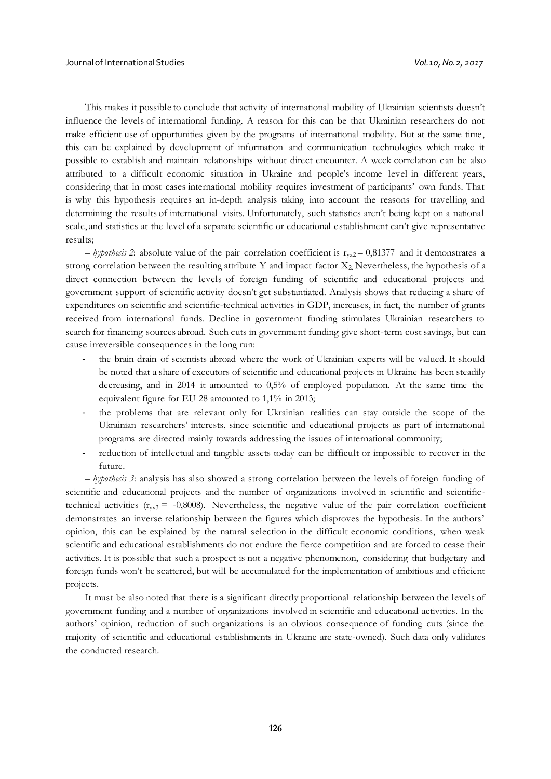This makes it possible to conclude that activity of international mobility of Ukrainian scientists doesn't influence the levels of international funding. A reason for this can be that Ukrainian researchers do not make efficient use of opportunities given by the programs of international mobility. But at the same time, this can be explained by development of information and communication technologies which make it possible to establish and maintain relationships without direct encounter. A week correlation can be also attributed to a difficult economic situation in Ukraine and people's income level in different years, considering that in most cases international mobility requires investment of participants' own funds. That is why this hypothesis requires an in-depth analysis taking into account the reasons for travelling and determining the results of international visits. Unfortunately, such statistics aren't being kept on a national scale, and statistics at the level of a separate scientific or educational establishment can't give representative results;

 $-$  *hypothesis* 2: absolute value of the pair correlation coefficient is  $r_{vx2} - 0.81377$  and it demonstrates a strong correlation between the resulting attribute Y and impact factor  $X_2$ . Nevertheless, the hypothesis of a direct connection between the levels of foreign funding of scientific and educational projects and government support of scientific activity doesn't get substantiated. Analysis shows that reducing a share of expenditures on scientific and scientific-technical activities in GDP, increases, in fact, the number of grants received from international funds. Decline in government funding stimulates Ukrainian researchers to search for financing sources abroad. Such cuts in government funding give short-term cost savings, but can cause irreversible consequences in the long run:

- the brain drain of scientists abroad where the work of Ukrainian experts will be valued. It should be noted that a share of executors of scientific and educational projects in Ukraine has been steadily decreasing, and in 2014 it amounted to 0,5% of employed population. At the same time the equivalent figure for EU 28 amounted to 1,1% in 2013;
- the problems that are relevant only for Ukrainian realities can stay outside the scope of the Ukrainian researchers' interests, since scientific and educational projects as part of international programs are directed mainly towards addressing the issues of international community;
- reduction of intellectual and tangible assets today can be difficult or impossible to recover in the future.

– *hypothesis 3*: analysis has also showed a strong correlation between the levels of foreign funding of scientific and educational projects and the number of organizations involved in scientific and scientific technical activities  $(r_{yx3} = -0,8008)$ . Nevertheless, the negative value of the pair correlation coefficient demonstrates an inverse relationship between the figures which disproves the hypothesis. In the authors' opinion, this can be explained by the natural selection in the difficult economic conditions, when weak scientific and educational establishments do not endure the fierce competition and are forced to cease their activities. It is possible that such a prospect is not a negative phenomenon, considering that budgetary and foreign funds won't be scattered, but will be accumulated for the implementation of ambitious and efficient projects.

It must be also noted that there is a significant directly proportional relationship between the levels of government funding and a number of organizations involved in scientific and educational activities. In the authors' opinion, reduction of such organizations is an obvious consequence of funding cuts (since the majority of scientific and educational establishments in Ukraine are state-owned). Such data only validates the conducted research.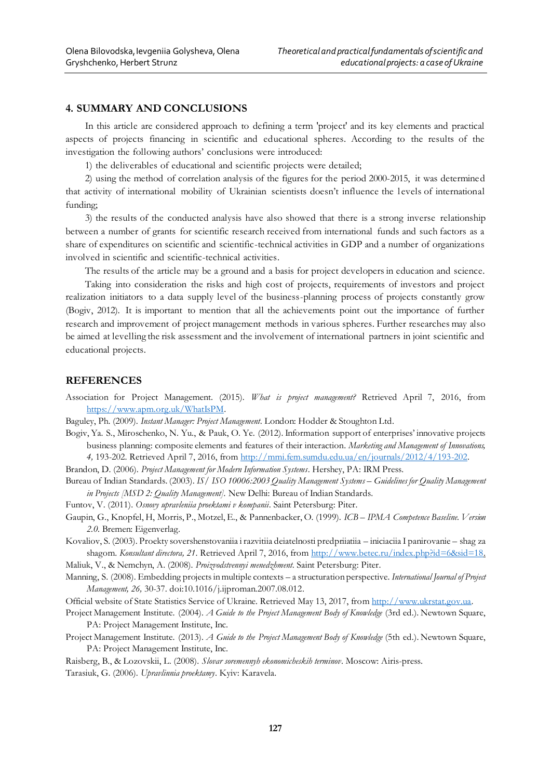# **4. SUMMARY AND CONCLUSIONS**

In this article are considered approach to defining a term 'project' and its key elements and practical aspects of projects financing in scientific and educational spheres. According to the results of the investigation the following authors' conclusions were introduced:

1) the deliverables of educational and scientific projects were detailed;

2) using the method of correlation analysis of the figures for the period 2000-2015, it was determined that activity of international mobility of Ukrainian scientists doesn't influence the levels of international funding;

3) the results of the conducted analysis have also showed that there is a strong inverse relationship between a number of grants for scientific research received from international funds and such factors as a share of expenditures on scientific and scientific-technical activities in GDP and a number of organizations involved in scientific and scientific-technical activities.

The results of the article may be a ground and a basis for project developers in education and science.

Taking into consideration the risks and high cost of projects, requirements of investors and project realization initiators to a data supply level of the business-planning process of projects constantly grow (Bogiv, 2012). It is important to mention that all the achievements point out the importance of further research and improvement of project management methods in various spheres. Further researches may also be aimed at levelling the risk assessment and the involvement of international partners in joint scientific and educational projects.

#### **REFERENCES**

- Association for Project Management. (2015). *What is project management?* Retrieved April 7, 2016, from <https://www.apm.org.uk/WhatIsPM>.
- Baguley, Ph. (2009). *Instant Manager: Project Management*. London: Hodder & Stoughton Ltd.
- Bogiv, Ya. S., Miroschenko, N. Yu., & Pauk, O. Ye. (2012). Information support of enterprises' innovative projects business planning: composite elements and features of their interaction. *Marketing and Management of Innovations, 4,* 193-202. Retrieved April 7, 2016, fro[m http://mmi.fem.sumdu.edu.ua/en/journals/2012/4/193-20](http://mmi.fem.sumdu.edu.ua/en/journals/2012/4/193-202)2.

Brandon, D. (2006). *Project Management for Modern Information Systems*. Hershey, PA: IRM Press.

- Bureau of Indian Standards. (2003). *IS/ ISO 10006:2003 Quality Management Systems – Guidelines for Quality Management in Projects [MSD 2: Quality Management].* New Delhi: Bureau of Indian Standards.
- Funtov, V. (2011). *Osnovy upravleniia proektami v kompanii*. Saint Petersburg: Piter.
- Gaupin, G., Knopfel, H, Morris, P., Motzel, E., & Pannenbacker, O. (1999). *ICB – IPMA Competence Baseline. Version 2.0.* Bremen: Eigenverlag.
- Kovaliov, S. (2003). Proekty sovershenstovaniia i razvitiia deiatelnosti predpriiatiia iniciaciia I panirovanie shag za shagom. *Konsultant directora*, 21. Retrieved April 7, 2016, fro[m http://www.betec.ru/index.php?id=6&sid=1](http://www.betec.ru/index.php?id=6&sid=18)8.

Maliuk, V., & Nemchyn, A. (2008). *Proizvodstvennyi menedzhment*. Saint Petersburg: Piter.

Manning, S. (2008). Embedding projects in multiple contexts – a structuration perspective. *International Journal of Project Management, 26,* 30-37. doi:10.1016/j.ijproman.2007.08.012.

Official website of State Statistics Service of Ukraine. Retrieved May 13, 2017, fro[m http://www.ukrstat.gov.u](http://www.ukrstat.gov.ua/)a.

- Project Management Institute. (2004). *A Guide to the Project Management Body of Knowledge* (3rd ed.). Newtown Square, PA: Project Management Institute, Inc.
- Project Management Institute. (2013). *A Guide to the Project Management Body of Knowledge* (5th ed.). Newtown Square, PA: Project Management Institute, Inc.

Raisberg, B., & Lozovskii, L. (2008). *Slovar soremennyh ekonomicheskih terminov*. Moscow: Airis-press.

Tarasiuk, G. (2006). *Upravlinnia proektamy*. Kyiv: Karavela.